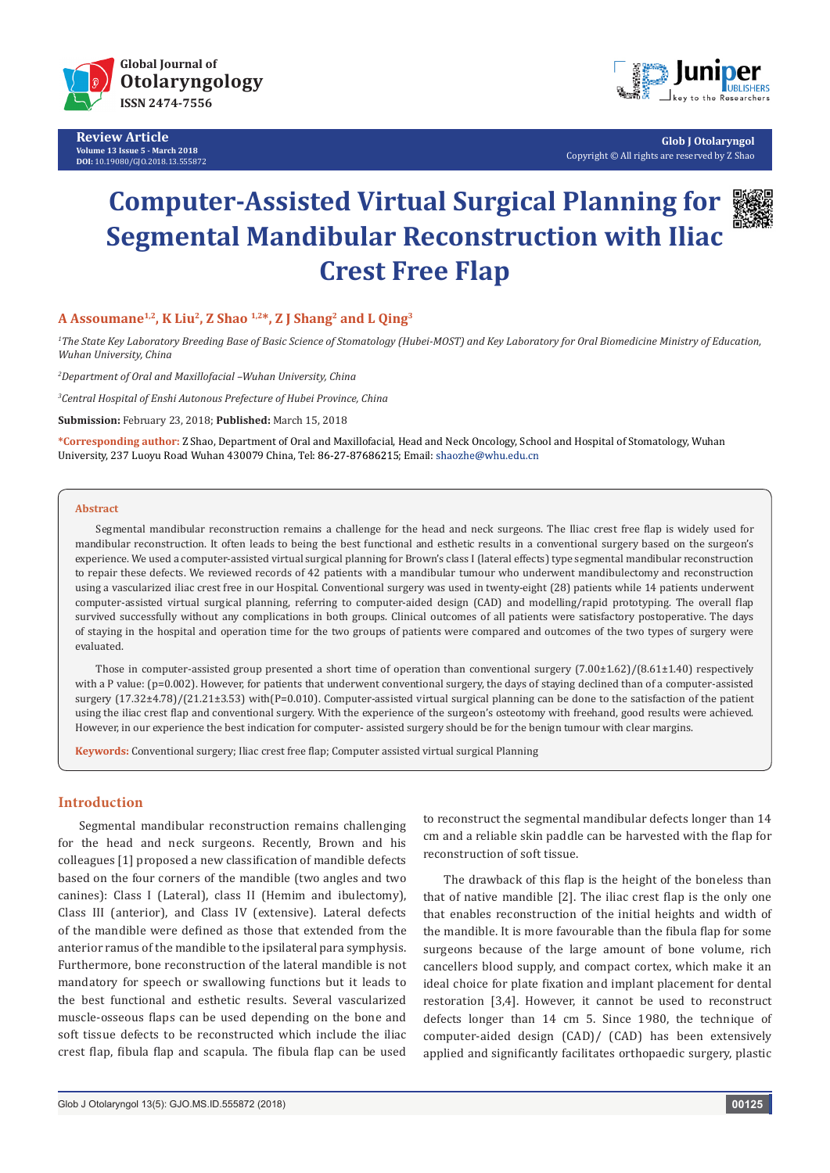

**Review Article Volume 13 Issue 5 - March 2018 DOI:** [10.19080/GJO.2018.13.555872](http://dx.doi.org/10.19080/GJO.2018.13.555872)



**Glob J Otolaryngol** Copyright © All rights are reserved by Z Shao

# **Computer-Assisted Virtual Surgical Planning for Segmental Mandibular Reconstruction with Iliac Crest Free Flap**



# **A Assoumane1,2, K Liu2, Z Shao 1,2\*, Z J Shang2 and L Qing3**

*1 The State Key Laboratory Breeding Base of Basic Science of Stomatology (Hubei-MOST) and Key Laboratory for Oral Biomedicine Ministry of Education, Wuhan University, China*

*2 Department of Oral and Maxillofacial –Wuhan University, China*

*3 Central Hospital of Enshi Autonous Prefecture of Hubei Province, China*

**Submission:** February 23, 2018; **Published:** March 15, 2018

**\*Corresponding author:** Z Shao, Department of Oral and Maxillofacial, Head and Neck Oncology, School and Hospital of Stomatology, Wuhan University, 237 Luoyu Road Wuhan 430079 China, Tel: 86-27-87686215; Email: shaozhe@whu.edu.cn

#### **Abstract**

Segmental mandibular reconstruction remains a challenge for the head and neck surgeons. The Iliac crest free flap is widely used for mandibular reconstruction. It often leads to being the best functional and esthetic results in a conventional surgery based on the surgeon's experience. We used a computer-assisted virtual surgical planning for Brown's class I (lateral effects) type segmental mandibular reconstruction to repair these defects. We reviewed records of 42 patients with a mandibular tumour who underwent mandibulectomy and reconstruction using a vascularized iliac crest free in our Hospital. Conventional surgery was used in twenty-eight (28) patients while 14 patients underwent computer-assisted virtual surgical planning, referring to computer-aided design (CAD) and modelling/rapid prototyping. The overall flap survived successfully without any complications in both groups. Clinical outcomes of all patients were satisfactory postoperative. The days of staying in the hospital and operation time for the two groups of patients were compared and outcomes of the two types of surgery were evaluated.

Those in computer-assisted group presented a short time of operation than conventional surgery  $(7.00\pm1.62)/(8.61\pm1.40)$  respectively with a P value: (p=0.002). However, for patients that underwent conventional surgery, the days of staying declined than of a computer-assisted surgery (17.32±4.78)/(21.21±3.53) with(P=0.010). Computer-assisted virtual surgical planning can be done to the satisfaction of the patient using the iliac crest flap and conventional surgery. With the experience of the surgeon's osteotomy with freehand, good results were achieved. However, in our experience the best indication for computer- assisted surgery should be for the benign tumour with clear margins.

**Keywords:** Conventional surgery; Iliac crest free flap; Computer assisted virtual surgical Planning

## **Introduction**

Segmental mandibular reconstruction remains challenging for the head and neck surgeons. Recently, Brown and his colleagues [1] proposed a new classification of mandible defects based on the four corners of the mandible (two angles and two canines): Class I (Lateral), class II (Hemim and ibulectomy), Class III (anterior), and Class IV (extensive). Lateral defects of the mandible were defined as those that extended from the anterior ramus of the mandible to the ipsilateral para symphysis. Furthermore, bone reconstruction of the lateral mandible is not mandatory for speech or swallowing functions but it leads to the best functional and esthetic results. Several vascularized muscle-osseous flaps can be used depending on the bone and soft tissue defects to be reconstructed which include the iliac crest flap, fibula flap and scapula. The fibula flap can be used

to reconstruct the segmental mandibular defects longer than 14 cm and a reliable skin paddle can be harvested with the flap for reconstruction of soft tissue.

The drawback of this flap is the height of the boneless than that of native mandible [2]. The iliac crest flap is the only one that enables reconstruction of the initial heights and width of the mandible. It is more favourable than the fibula flap for some surgeons because of the large amount of bone volume, rich cancellers blood supply, and compact cortex, which make it an ideal choice for plate fixation and implant placement for dental restoration [3,4]. However, it cannot be used to reconstruct defects longer than 14 cm 5. Since 1980, the technique of computer-aided design (CAD)/ (CAD) has been extensively applied and significantly facilitates orthopaedic surgery, plastic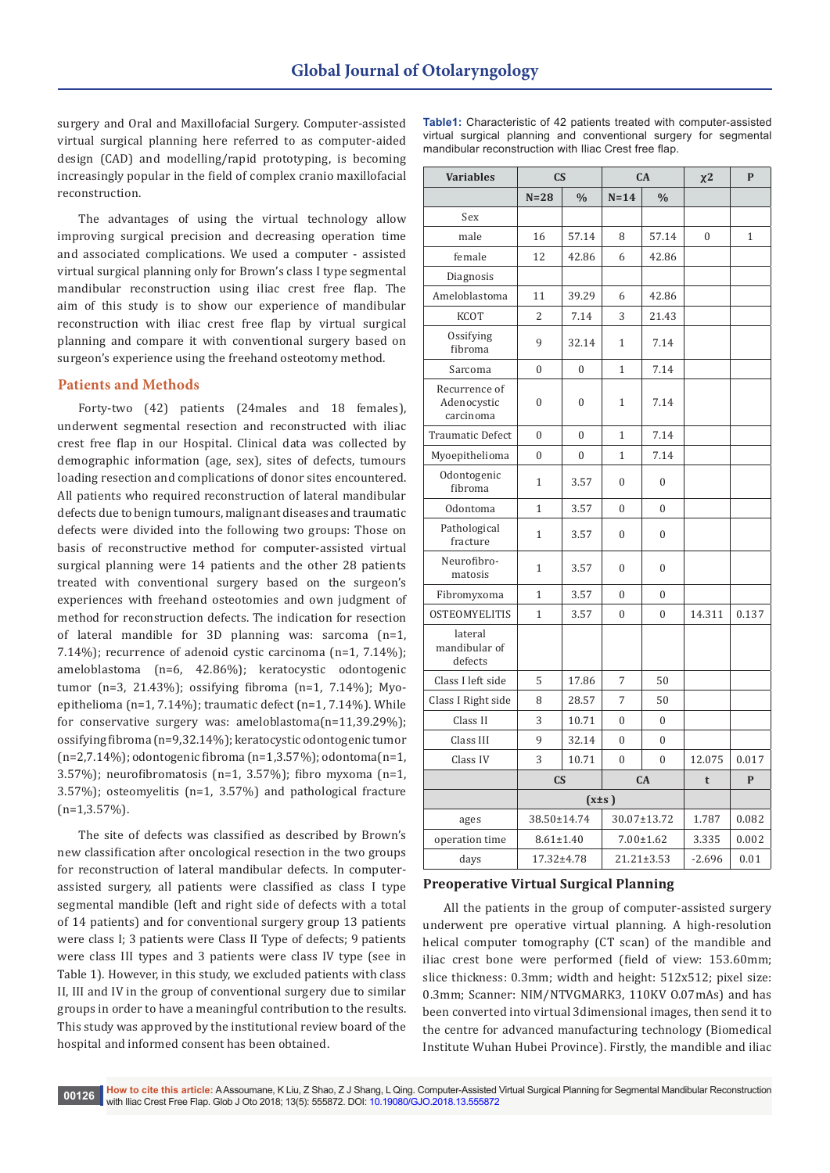surgery and Oral and Maxillofacial Surgery. Computer-assisted virtual surgical planning here referred to as computer-aided design (CAD) and modelling/rapid prototyping, is becoming increasingly popular in the field of complex cranio maxillofacial reconstruction.

The advantages of using the virtual technology allow improving surgical precision and decreasing operation time and associated complications. We used a computer - assisted virtual surgical planning only for Brown's class I type segmental mandibular reconstruction using iliac crest free flap. The aim of this study is to show our experience of mandibular reconstruction with iliac crest free flap by virtual surgical planning and compare it with conventional surgery based on surgeon's experience using the freehand osteotomy method.

#### **Patients and Methods**

Forty-two (42) patients (24males and 18 females), underwent segmental resection and reconstructed with iliac crest free flap in our Hospital. Clinical data was collected by demographic information (age, sex), sites of defects, tumours loading resection and complications of donor sites encountered. All patients who required reconstruction of lateral mandibular defects due to benign tumours, malignant diseases and traumatic defects were divided into the following two groups: Those on basis of reconstructive method for computer-assisted virtual surgical planning were 14 patients and the other 28 patients treated with conventional surgery based on the surgeon's experiences with freehand osteotomies and own judgment of method for reconstruction defects. The indication for resection of lateral mandible for 3D planning was: sarcoma (n=1, 7.14%); recurrence of adenoid cystic carcinoma (n=1, 7.14%); ameloblastoma (n=6, 42.86%); keratocystic odontogenic tumor (n=3, 21.43%); ossifying fibroma (n=1, 7.14%); Myoepithelioma (n=1, 7.14%); traumatic defect (n=1, 7.14%). While for conservative surgery was: ameloblastoma(n=11,39.29%); ossifying fibroma (n=9,32.14%); keratocystic odontogenic tumor (n=2,7.14%); odontogenic fibroma (n=1,3.57%); odontoma(n=1, 3.57%); neurofibromatosis (n=1, 3.57%); fibro myxoma (n=1, 3.57%); osteomyelitis (n=1, 3.57%) and pathological fracture  $(n=1,3.57\%)$ .

The site of defects was classified as described by Brown's new classification after oncological resection in the two groups for reconstruction of lateral mandibular defects. In computerassisted surgery, all patients were classified as class I type segmental mandible (left and right side of defects with a total of 14 patients) and for conventional surgery group 13 patients were class I; 3 patients were Class II Type of defects; 9 patients were class III types and 3 patients were class IV type (see in Table 1). However, in this study, we excluded patients with class II, III and IV in the group of conventional surgery due to similar groups in order to have a meaningful contribution to the results. This study was approved by the institutional review board of the hospital and informed consent has been obtained.

|                                                       |  |  |  | <b>Table1:</b> Characteristic of 42 patients treated with computer-assisted |  |  |  |  |  |  |
|-------------------------------------------------------|--|--|--|-----------------------------------------------------------------------------|--|--|--|--|--|--|
|                                                       |  |  |  | virtual surgical planning and conventional surgery for segmental            |  |  |  |  |  |  |
| mandibular reconstruction with Iliac Crest free flap. |  |  |  |                                                                             |  |  |  |  |  |  |

| <b>Variables</b>                          | $\overline{\text{CS}}$ |               | CA               |               | $\chi$ <sup>2</sup> | $\mathbf{P}$ |
|-------------------------------------------|------------------------|---------------|------------------|---------------|---------------------|--------------|
|                                           | $N = 28$               | $\frac{0}{0}$ | $N=14$           | $\frac{0}{0}$ |                     |              |
| Sex                                       |                        |               |                  |               |                     |              |
| male                                      | 16                     | 57.14         | 8                | 57.14         | $\overline{0}$      | $\mathbf{1}$ |
| female                                    | 12                     | 42.86         | 6                | 42.86         |                     |              |
| Diagnosis                                 |                        |               |                  |               |                     |              |
| Ameloblastoma                             | 11                     | 39.29         | 6                | 42.86         |                     |              |
| <b>KCOT</b>                               | $\overline{2}$         | 7.14          | 3                | 21.43         |                     |              |
| Ossifying<br>fibroma                      | 9                      | 32.14         | 1                | 7.14          |                     |              |
| Sarcoma                                   | 0                      | $\mathbf{0}$  | $\mathbf{1}$     | 7.14          |                     |              |
| Recurrence of<br>Adenocystic<br>carcinoma | $\mathbf{0}$           | $\mathbf{0}$  | $\mathbf{1}$     | 7.14          |                     |              |
| <b>Traumatic Defect</b>                   | $\overline{0}$         | $\mathbf{0}$  | $\mathbf{1}$     | 7.14          |                     |              |
| Myoepithelioma                            | $\overline{0}$         | $\mathbf{0}$  | $\mathbf{1}$     | 7.14          |                     |              |
| Odontogenic<br>fibroma                    | $\mathbf{1}$           | 3.57          | $\boldsymbol{0}$ | 0             |                     |              |
| Odontoma                                  | $\mathbf{1}$           | 3.57          | $\boldsymbol{0}$ | 0             |                     |              |
| Pathological<br>fracture                  | $\mathbf{1}$           | 3.57          | 0                | 0             |                     |              |
| Neurofibro-<br>matosis                    | 1                      | 3.57          | 0                | 0             |                     |              |
| Fibromyxoma                               | $\mathbf{1}$           | 3.57          | $\boldsymbol{0}$ | 0             |                     |              |
| <b>OSTEOMYELITIS</b>                      | $\mathbf{1}$           | 3.57          | $\boldsymbol{0}$ | $\theta$      | 14.311              | 0.137        |
| lateral<br>mandibular of<br>defects       |                        |               |                  |               |                     |              |
| Class I left side                         | 5                      | 17.86         | 7                | 50            |                     |              |
| Class I Right side                        | 8                      | 28.57         | 7                | 50            |                     |              |
| Class II                                  | 3                      | 10.71         | 0                | 0             |                     |              |
| Class III                                 | 9                      | 32.14         | $\Omega$         | $\theta$      |                     |              |
| Class IV                                  | 3                      | 10.71         | $\theta$         | $\theta$      | 12.075              | 0.017        |
|                                           | $\mathbf{C}\mathbf{S}$ |               | CA               |               | t                   | $\mathbf{P}$ |
|                                           | $(x \pm s)$            |               |                  |               |                     |              |
| ages                                      | 38.50±14.74            |               | 30.07±13.72      |               | 1.787               | 0.082        |
| operation time                            | $8.61 \pm 1.40$        |               | $7.00 \pm 1.62$  |               | 3.335               | 0.002        |
| days                                      | 17.32±4.78             |               | 21.21±3.53       |               | $-2.696$            | 0.01         |

#### **Preoperative Virtual Surgical Planning**

All the patients in the group of computer-assisted surgery underwent pre operative virtual planning. A high-resolution helical computer tomography (CT scan) of the mandible and iliac crest bone were performed (field of view: 153.60mm; slice thickness: 0.3mm; width and height: 512x512; pixel size: 0.3mm; Scanner: NIM/NTVGMARK3, 110KV O.07mAs) and has been converted into virtual 3dimensional images, then send it to the centre for advanced manufacturing technology (Biomedical Institute Wuhan Hubei Province). Firstly, the mandible and iliac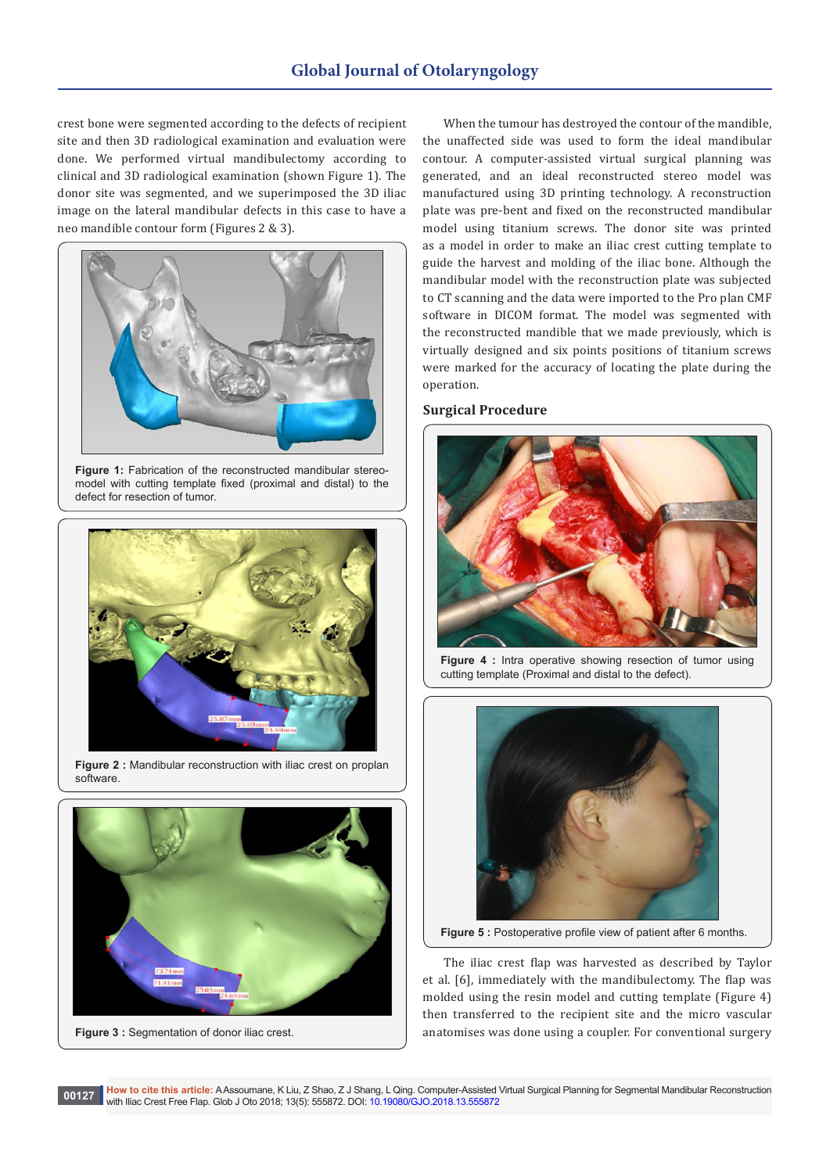crest bone were segmented according to the defects of recipient site and then 3D radiological examination and evaluation were done. We performed virtual mandibulectomy according to clinical and 3D radiological examination (shown Figure 1). The donor site was segmented, and we superimposed the 3D iliac image on the lateral mandibular defects in this case to have a neo mandible contour form (Figures 2 & 3).



**Figure 1:** Fabrication of the reconstructed mandibular stereomodel with cutting template fixed (proximal and distal) to the defect for resection of tumor.



**Figure 2 :** Mandibular reconstruction with iliac crest on proplan software.



**Figure 3: Segmentation of donor iliac crest.** 

When the tumour has destroyed the contour of the mandible, the unaffected side was used to form the ideal mandibular contour. A computer-assisted virtual surgical planning was generated, and an ideal reconstructed stereo model was manufactured using 3D printing technology. A reconstruction plate was pre-bent and fixed on the reconstructed mandibular model using titanium screws. The donor site was printed as a model in order to make an iliac crest cutting template to guide the harvest and molding of the iliac bone. Although the mandibular model with the reconstruction plate was subjected to CT scanning and the data were imported to the Pro plan CMF software in DICOM format. The model was segmented with the reconstructed mandible that we made previously, which is virtually designed and six points positions of titanium screws were marked for the accuracy of locating the plate during the operation.

#### **Surgical Procedure**



**Figure 4 :** Intra operative showing resection of tumor using cutting template (Proximal and distal to the defect).



**Figure 5 :** Postoperative profile view of patient after 6 months.

The iliac crest flap was harvested as described by Taylor et al. [6], immediately with the mandibulectomy. The flap was molded using the resin model and cutting template (Figure 4) then transferred to the recipient site and the micro vascular anatomises was done using a coupler. For conventional surgery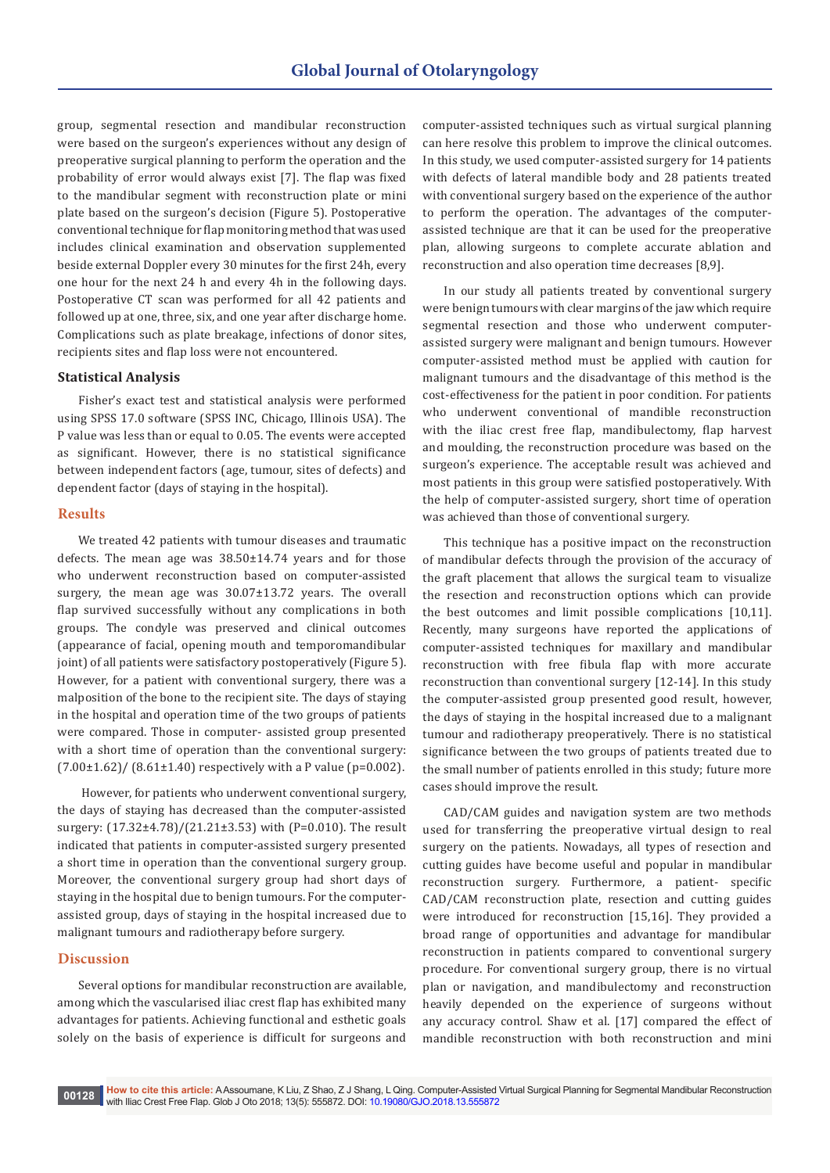group, segmental resection and mandibular reconstruction were based on the surgeon's experiences without any design of preoperative surgical planning to perform the operation and the probability of error would always exist [7]. The flap was fixed to the mandibular segment with reconstruction plate or mini plate based on the surgeon's decision (Figure 5). Postoperative conventional technique for flap monitoring method that was used includes clinical examination and observation supplemented beside external Doppler every 30 minutes for the first 24h, every one hour for the next 24 h and every 4h in the following days. Postoperative CT scan was performed for all 42 patients and followed up at one, three, six, and one year after discharge home. Complications such as plate breakage, infections of donor sites, recipients sites and flap loss were not encountered.

#### **Statistical Analysis**

Fisher's exact test and statistical analysis were performed using SPSS 17.0 software (SPSS INC, Chicago, Illinois USA). The P value was less than or equal to 0.05. The events were accepted as significant. However, there is no statistical significance between independent factors (age, tumour, sites of defects) and dependent factor (days of staying in the hospital).

#### **Results**

We treated 42 patients with tumour diseases and traumatic defects. The mean age was 38.50±14.74 years and for those who underwent reconstruction based on computer-assisted surgery, the mean age was 30.07±13.72 years. The overall flap survived successfully without any complications in both groups. The condyle was preserved and clinical outcomes (appearance of facial, opening mouth and temporomandibular joint) of all patients were satisfactory postoperatively (Figure 5). However, for a patient with conventional surgery, there was a malposition of the bone to the recipient site. The days of staying in the hospital and operation time of the two groups of patients were compared. Those in computer- assisted group presented with a short time of operation than the conventional surgery:  $(7.00\pm1.62)$ /  $(8.61\pm1.40)$  respectively with a P value (p=0.002).

 However, for patients who underwent conventional surgery, the days of staying has decreased than the computer-assisted surgery: (17.32±4.78)/(21.21±3.53) with (P=0.010). The result indicated that patients in computer-assisted surgery presented a short time in operation than the conventional surgery group. Moreover, the conventional surgery group had short days of staying in the hospital due to benign tumours. For the computerassisted group, days of staying in the hospital increased due to malignant tumours and radiotherapy before surgery.

#### **Discussion**

Several options for mandibular reconstruction are available, among which the vascularised iliac crest flap has exhibited many advantages for patients. Achieving functional and esthetic goals solely on the basis of experience is difficult for surgeons and computer-assisted techniques such as virtual surgical planning can here resolve this problem to improve the clinical outcomes. In this study, we used computer-assisted surgery for 14 patients with defects of lateral mandible body and 28 patients treated with conventional surgery based on the experience of the author to perform the operation. The advantages of the computerassisted technique are that it can be used for the preoperative plan, allowing surgeons to complete accurate ablation and reconstruction and also operation time decreases [8,9].

In our study all patients treated by conventional surgery were benign tumours with clear margins of the jaw which require segmental resection and those who underwent computerassisted surgery were malignant and benign tumours. However computer-assisted method must be applied with caution for malignant tumours and the disadvantage of this method is the cost-effectiveness for the patient in poor condition. For patients who underwent conventional of mandible reconstruction with the iliac crest free flap, mandibulectomy, flap harvest and moulding, the reconstruction procedure was based on the surgeon's experience. The acceptable result was achieved and most patients in this group were satisfied postoperatively. With the help of computer-assisted surgery, short time of operation was achieved than those of conventional surgery.

This technique has a positive impact on the reconstruction of mandibular defects through the provision of the accuracy of the graft placement that allows the surgical team to visualize the resection and reconstruction options which can provide the best outcomes and limit possible complications [10,11]. Recently, many surgeons have reported the applications of computer-assisted techniques for maxillary and mandibular reconstruction with free fibula flap with more accurate reconstruction than conventional surgery [12-14]. In this study the computer-assisted group presented good result, however, the days of staying in the hospital increased due to a malignant tumour and radiotherapy preoperatively. There is no statistical significance between the two groups of patients treated due to the small number of patients enrolled in this study; future more cases should improve the result.

CAD/CAM guides and navigation system are two methods used for transferring the preoperative virtual design to real surgery on the patients. Nowadays, all types of resection and cutting guides have become useful and popular in mandibular reconstruction surgery. Furthermore, a patient- specific CAD/CAM reconstruction plate, resection and cutting guides were introduced for reconstruction [15,16]. They provided a broad range of opportunities and advantage for mandibular reconstruction in patients compared to conventional surgery procedure. For conventional surgery group, there is no virtual plan or navigation, and mandibulectomy and reconstruction heavily depended on the experience of surgeons without any accuracy control. Shaw et al. [17] compared the effect of mandible reconstruction with both reconstruction and mini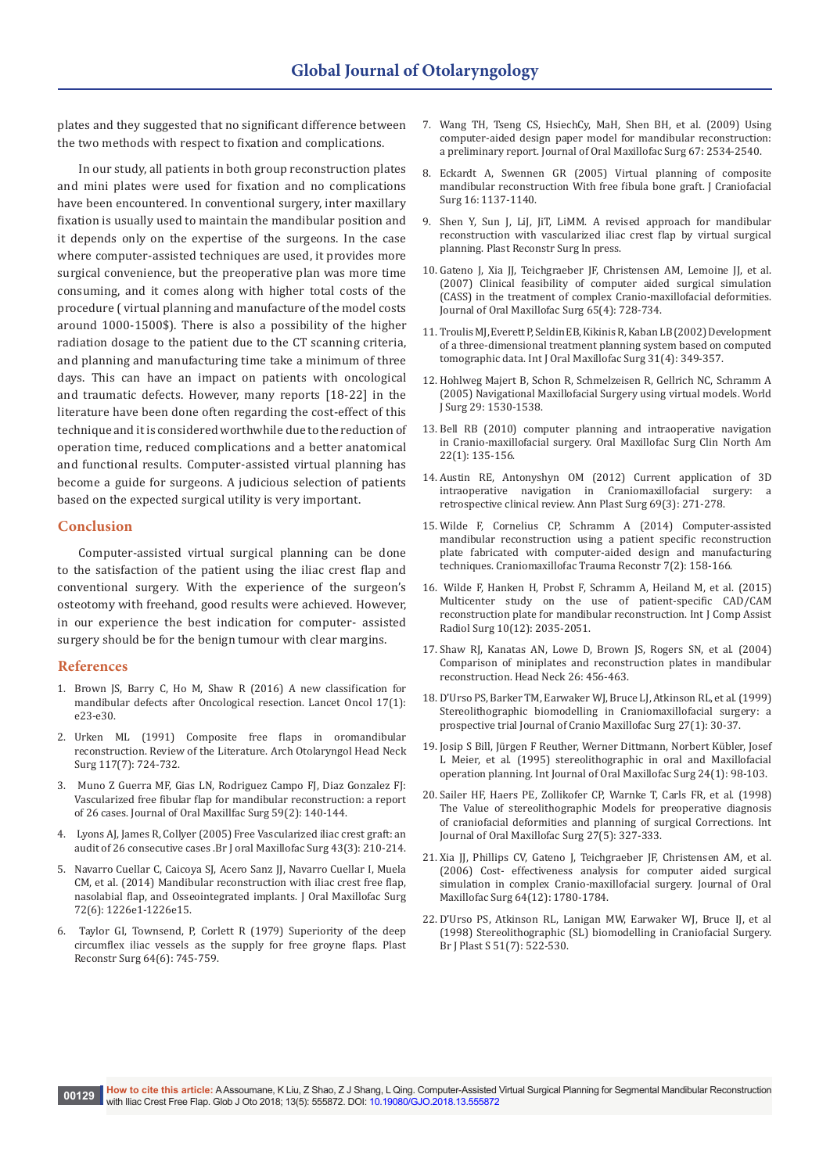plates and they suggested that no significant difference between the two methods with respect to fixation and complications.

In our study, all patients in both group reconstruction plates and mini plates were used for fixation and no complications have been encountered. In conventional surgery, inter maxillary fixation is usually used to maintain the mandibular position and it depends only on the expertise of the surgeons. In the case where computer-assisted techniques are used, it provides more surgical convenience, but the preoperative plan was more time consuming, and it comes along with higher total costs of the procedure ( virtual planning and manufacture of the model costs around 1000-1500\$). There is also a possibility of the higher radiation dosage to the patient due to the CT scanning criteria, and planning and manufacturing time take a minimum of three days. This can have an impact on patients with oncological and traumatic defects. However, many reports [18-22] in the literature have been done often regarding the cost-effect of this technique and it is considered worthwhile due to the reduction of operation time, reduced complications and a better anatomical and functional results. Computer-assisted virtual planning has become a guide for surgeons. A judicious selection of patients based on the expected surgical utility is very important.

#### **Conclusion**

Computer-assisted virtual surgical planning can be done to the satisfaction of the patient using the iliac crest flap and conventional surgery. With the experience of the surgeon's osteotomy with freehand, good results were achieved. However, in our experience the best indication for computer- assisted surgery should be for the benign tumour with clear margins.

#### **References**

- 1. [Brown JS, Barry C, Ho M, Shaw R \(2016\) A new classification for](https://www.ncbi.nlm.nih.gov/pubmed/26758757)  [mandibular defects after Oncological resection. Lancet Oncol 17\(1\):](https://www.ncbi.nlm.nih.gov/pubmed/26758757)  [e23-e30.](https://www.ncbi.nlm.nih.gov/pubmed/26758757)
- 2. [Urken ML \(1991\) Composite free flaps in oromandibular](https://www.ncbi.nlm.nih.gov/pubmed/1863437)  [reconstruction. Review of the Literature. Arch Otolaryngol Head Neck](https://www.ncbi.nlm.nih.gov/pubmed/1863437)  [Surg 117\(7\): 724-732.](https://www.ncbi.nlm.nih.gov/pubmed/1863437)
- 3. [Muno Z Guerra MF, Gias LN, Rodriguez Campo FJ, Diaz Gonzalez FJ:](https://www.sciencedirect.com/science/article/pii/S0278239101466535)  [Vascularized free fibular flap for mandibular reconstruction: a report](https://www.sciencedirect.com/science/article/pii/S0278239101466535)  [of 26 cases. Journal of Oral Maxillfac Surg 59\(2\): 140-144.](https://www.sciencedirect.com/science/article/pii/S0278239101466535)
- 4. [Lyons AJ, James R, Collyer \(2005\) Free Vascularized iliac crest graft: an](https://www.sciencedirect.com/science/article/pii/S0266435604002402)  [audit of 26 consecutive cases .Br J oral Maxillofac Surg 43\(3\): 210-214.](https://www.sciencedirect.com/science/article/pii/S0266435604002402)
- 5. [Navarro Cuellar C, Caicoya SJ, Acero Sanz JJ, Navarro Cuellar I, Muela](https://www.ncbi.nlm.nih.gov/pubmed/24831940)  [CM, et al. \(2014\) Mandibular reconstruction with iliac crest free flap,](https://www.ncbi.nlm.nih.gov/pubmed/24831940)  [nasolabial flap, and Osseointegrated implants. J Oral Maxillofac Surg](https://www.ncbi.nlm.nih.gov/pubmed/24831940)  [72\(6\): 1226e1-1226e15.](https://www.ncbi.nlm.nih.gov/pubmed/24831940)
- 6. [Taylor GI, Townsend, P, Corlett R \(1979\) Superiority of the deep](https://www.ncbi.nlm.nih.gov/pubmed/390575)  [circumflex iliac vessels as the supply for free groyne flaps. Plast](https://www.ncbi.nlm.nih.gov/pubmed/390575)  [Reconstr Surg 64\(6\): 745-759.](https://www.ncbi.nlm.nih.gov/pubmed/390575)
- 7. [Wang TH, Tseng CS, HsiechCy, MaH, Shen BH, et al. \(2009\) Using](https://www.ncbi.nlm.nih.gov/pubmed/19837331)  [computer-aided design paper model for mandibular reconstruction:](https://www.ncbi.nlm.nih.gov/pubmed/19837331)  [a preliminary report. Journal of Oral Maxillofac Surg 67: 2534-2540.](https://www.ncbi.nlm.nih.gov/pubmed/19837331)
- 8. [Eckardt A, Swennen GR \(2005\) Virtual planning of composite](https://www.ncbi.nlm.nih.gov/pubmed/16327572)  [mandibular reconstruction With free fibula bone graft. J Craniofacial](https://www.ncbi.nlm.nih.gov/pubmed/16327572)  [Surg 16: 1137-1140.](https://www.ncbi.nlm.nih.gov/pubmed/16327572)
- 9. Shen Y, Sun J, LiJ, JiT, LiMM. A revised approach for mandibular reconstruction with vascularized iliac crest flap by virtual surgical planning. Plast Reconstr Surg In press.
- 10. Gateno J, Xia JJ, Teichgraeber JF, Christensen AM, Lemoine JJ, et al. [\(2007\) Clinical feasibility of computer aided surgical simulation](https://www.ncbi.nlm.nih.gov/pubmed/17368370)  [\(CASS\) in the treatment of complex Cranio-maxillofacial deformities.](https://www.ncbi.nlm.nih.gov/pubmed/17368370)  [Journal of Oral Maxillofac Surg 65\(4\): 728-734.](https://www.ncbi.nlm.nih.gov/pubmed/17368370)
- 11. [Troulis MJ, Everett P, Seldin EB, Kikinis R, Kaban LB \(2002\) Development](https://www.ncbi.nlm.nih.gov/pubmed/12361065)  [of a three-dimensional treatment planning system based on computed](https://www.ncbi.nlm.nih.gov/pubmed/12361065)  [tomographic data. Int J Oral Maxillofac Surg 31\(4\): 349-357.](https://www.ncbi.nlm.nih.gov/pubmed/12361065)
- 12. [Hohlweg Majert B, Schon R, Schmelzeisen R, Gellrich NC, Schramm A](https://www.ncbi.nlm.nih.gov/pubmed/16311844)  [\(2005\) Navigational Maxillofacial Surgery using virtual models. World](https://www.ncbi.nlm.nih.gov/pubmed/16311844)  [J Surg 29: 1530-1538.](https://www.ncbi.nlm.nih.gov/pubmed/16311844)
- 13. [Bell RB \(2010\) computer planning and intraoperative navigation](https://www.ncbi.nlm.nih.gov/pubmed/20159483)  [in Cranio-maxillofacial surgery. Oral Maxillofac Surg Clin North Am](https://www.ncbi.nlm.nih.gov/pubmed/20159483)  [22\(1\): 135-156.](https://www.ncbi.nlm.nih.gov/pubmed/20159483)
- 14. [Austin RE, Antonyshyn OM \(2012\) Current application of 3D](https://www.ncbi.nlm.nih.gov/pubmed/22214790)  [intraoperative navigation in Craniomaxillofacial surgery: a](https://www.ncbi.nlm.nih.gov/pubmed/22214790)  [retrospective clinical review. Ann Plast Surg 69\(3\): 271-278.](https://www.ncbi.nlm.nih.gov/pubmed/22214790)
- 15. [Wilde F, Cornelius CP, Schramm A \(2014\) Computer-assisted](https://www.ncbi.nlm.nih.gov/pubmed/25045420)  [mandibular reconstruction using a patient specific reconstruction](https://www.ncbi.nlm.nih.gov/pubmed/25045420)  [plate fabricated with computer-aided design and manufacturing](https://www.ncbi.nlm.nih.gov/pubmed/25045420)  [techniques. Craniomaxillofac Trauma Reconstr 7\(2\): 158-166.](https://www.ncbi.nlm.nih.gov/pubmed/25045420)
- 16. [Wilde F, Hanken H, Probst F, Schramm A, Heiland M, et al. \(2015\)](https://www.ncbi.nlm.nih.gov/pubmed/25843949)  [Multicenter study on the use of patient-specific CAD/CAM](https://www.ncbi.nlm.nih.gov/pubmed/25843949)  [reconstruction plate for mandibular reconstruction. Int J Comp Assist](https://www.ncbi.nlm.nih.gov/pubmed/25843949)  [Radiol Surg 10\(12\): 2035-2051.](https://www.ncbi.nlm.nih.gov/pubmed/25843949)
- 17. [Shaw RJ, Kanatas AN, Lowe D, Brown JS, Rogers SN, et al. \(2004\)](https://www.ncbi.nlm.nih.gov/pubmed/15122663)  [Comparison of miniplates and reconstruction plates in mandibular](https://www.ncbi.nlm.nih.gov/pubmed/15122663)  [reconstruction. Head Neck 26: 456-463.](https://www.ncbi.nlm.nih.gov/pubmed/15122663)
- 18. [D'Urso PS, Barker TM, Earwaker WJ, Bruce LJ, Atkinson RL, et al. \(1999\)](https://www.ncbi.nlm.nih.gov/pubmed/10188125)  [Stereolithographic biomodelling in Craniomaxillofacial surgery: a](https://www.ncbi.nlm.nih.gov/pubmed/10188125)  [prospective trial Journal of Cranio Maxillofac Surg 27\(1\): 30-37.](https://www.ncbi.nlm.nih.gov/pubmed/10188125)
- 19. [Josip S Bill, Jürgen F Reuther, Werner Dittmann, Norbert Kübler, Josef](https://www.sciencedirect.com/science/article/pii/S0901502705808690)  [L Meier, et al. \(1995\) stereolithographic in oral and Maxillofacial](https://www.sciencedirect.com/science/article/pii/S0901502705808690)  [operation planning. Int Journal of Oral Maxillofac Surg 24\(1\): 98-103.](https://www.sciencedirect.com/science/article/pii/S0901502705808690)
- 20. [Sailer HF, Haers PE, Zollikofer CP, Warnke T, Carls FR, et al. \(1998\)](https://www.ncbi.nlm.nih.gov/pubmed/9804193)  [The Value of stereolithographic Models for preoperative diagnosis](https://www.ncbi.nlm.nih.gov/pubmed/9804193)  [of craniofacial deformities and planning of surgical Corrections. Int](https://www.ncbi.nlm.nih.gov/pubmed/9804193)  [Journal of Oral Maxillofac Surg 27\(5\): 327-333.](https://www.ncbi.nlm.nih.gov/pubmed/9804193)
- 21. Xia II, Phillips CV, Gateno J, Teichgraeber JF, Christensen AM, et al. [\(2006\) Cost- effectiveness analysis for computer aided surgical](https://www.ncbi.nlm.nih.gov/pubmed/17113445)  [simulation in complex Cranio-maxillofacial surgery. Journal of Oral](https://www.ncbi.nlm.nih.gov/pubmed/17113445)  [Maxillofac Surg 64\(12\): 1780-1784.](https://www.ncbi.nlm.nih.gov/pubmed/17113445)
- 22. [D'Urso PS, Atkinson RL, Lanigan MW, Earwaker WJ, Bruce IJ, et al](https://www.ncbi.nlm.nih.gov/pubmed/9924405)  [\(1998\) Stereolithographic \(SL\) biomodelling in Craniofacial Surgery.](https://www.ncbi.nlm.nih.gov/pubmed/9924405)  [Br J Plast S 51\(7\): 522-530.](https://www.ncbi.nlm.nih.gov/pubmed/9924405)